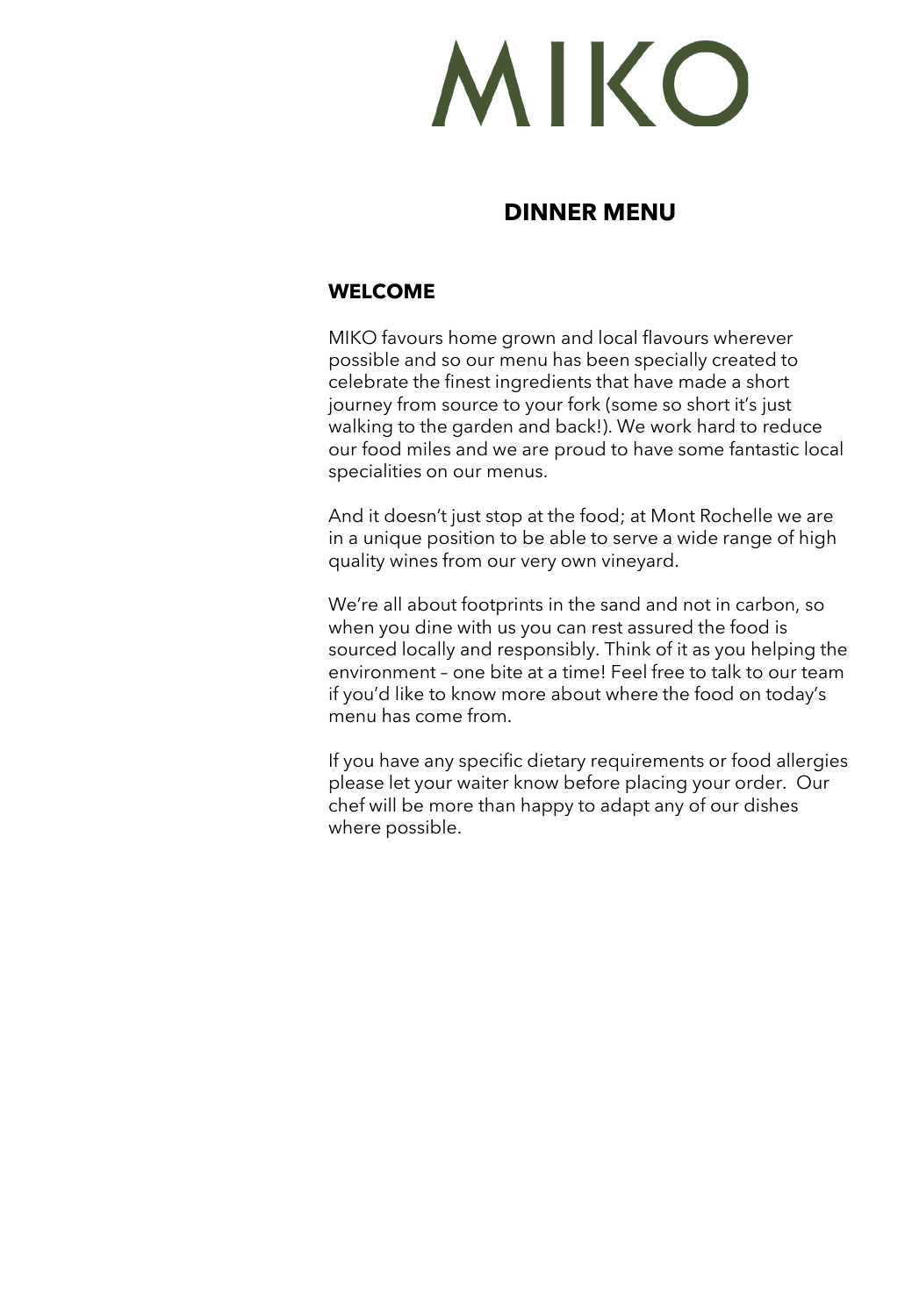MIKO

# **DINNER MENU**

## **WELCOME**

MIKO favours home grown and local flavours wherever possible and so our menu has been specially created to celebrate the finest ingredients that have made a short journey from source to your fork (some so short it's just walking to the garden and back!). We work hard to reduce our food miles and we are proud to have some fantastic local specialities on our menus.

And it doesn't just stop at the food; at Mont Rochelle we are in a unique position to be able to serve a wide range of high quality wines from our very own vineyard.

We're all about footprints in the sand and not in carbon, so when you dine with us you can rest assured the food is sourced locally and responsibly. Think of it as you helping the environment – one bite at a time! Feel free to talk to our team if you'd like to know more about where the food on today's menu has come from.

If you have any specific dietary requirements or food allergies please let your waiter know before placing your order. Our chef will be more than happy to adapt any of our dishes where possible.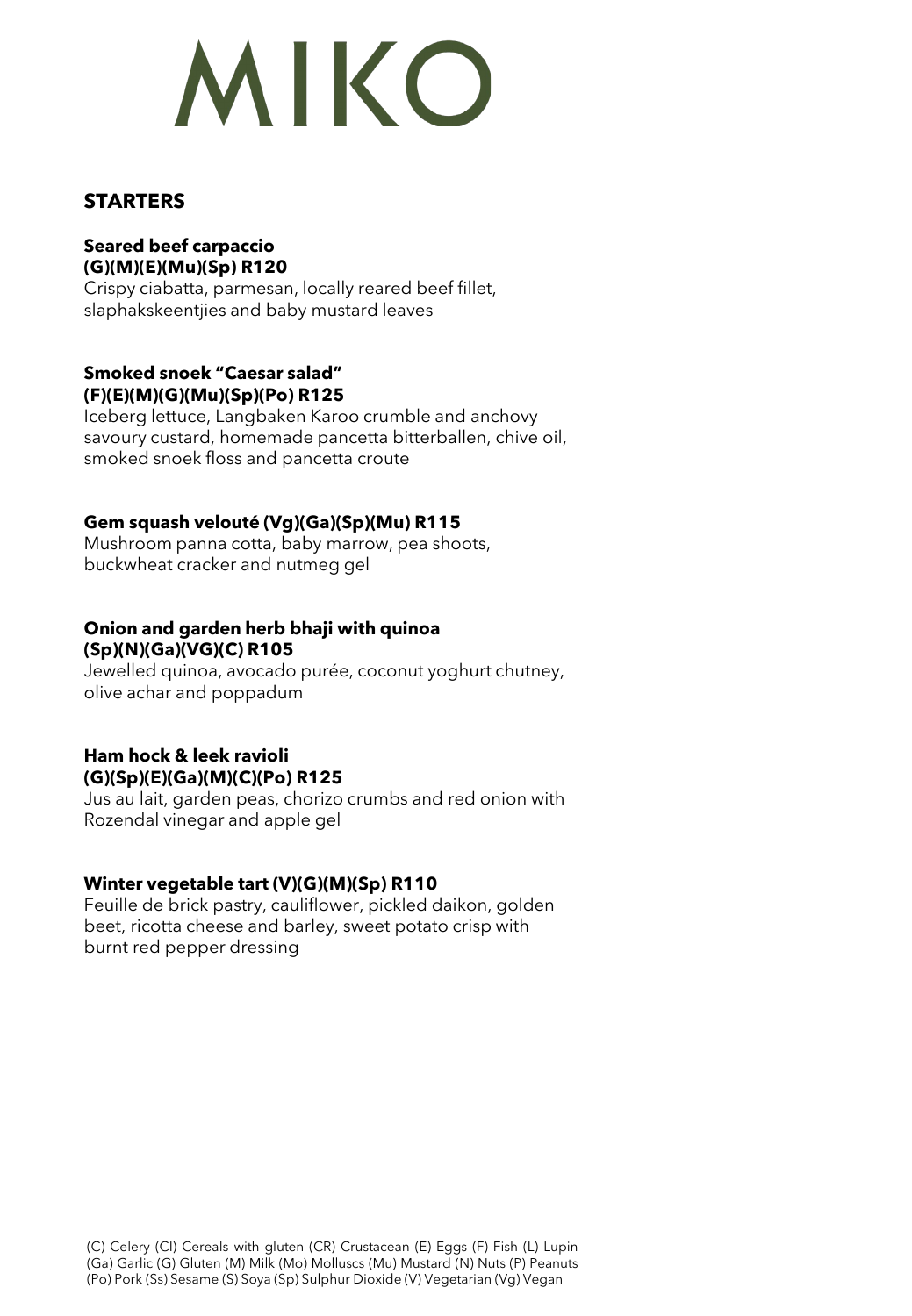# MIKO

## **STARTERS**

## **Seared beef carpaccio (G)(M)(E)(Mu)(Sp) R120**

Crispy ciabatta, parmesan, locally reared beef fillet, slaphakskeentjies and baby mustard leaves

#### **Smoked snoek "Caesar salad" (F)(E)(M)(G)(Mu)(Sp)(Po) R125**

Iceberg lettuce, Langbaken Karoo crumble and anchovy savoury custard, homemade pancetta bitterballen, chive oil, smoked snoek floss and pancetta croute

### **Gem squash velouté (Vg)(Ga)(Sp)(Mu) R115**

Mushroom panna cotta, baby marrow, pea shoots, buckwheat cracker and nutmeg gel

#### **Onion and garden herb bhaji with quinoa (Sp)(N)(Ga)(VG)(C) R105**

Jewelled quinoa, avocado purée, coconut yoghurt chutney, olive achar and poppadum

# **Ham hock & leek ravioli (G)(Sp)(E)(Ga)(M)(C)(Po) R125**

Jus au lait, garden peas, chorizo crumbs and red onion with Rozendal vinegar and apple gel

### **Winter vegetable tart (V)(G)(M)(Sp) R110**

Feuille de brick pastry, cauliflower, pickled daikon, golden beet, ricotta cheese and barley, sweet potato crisp with burnt red pepper dressing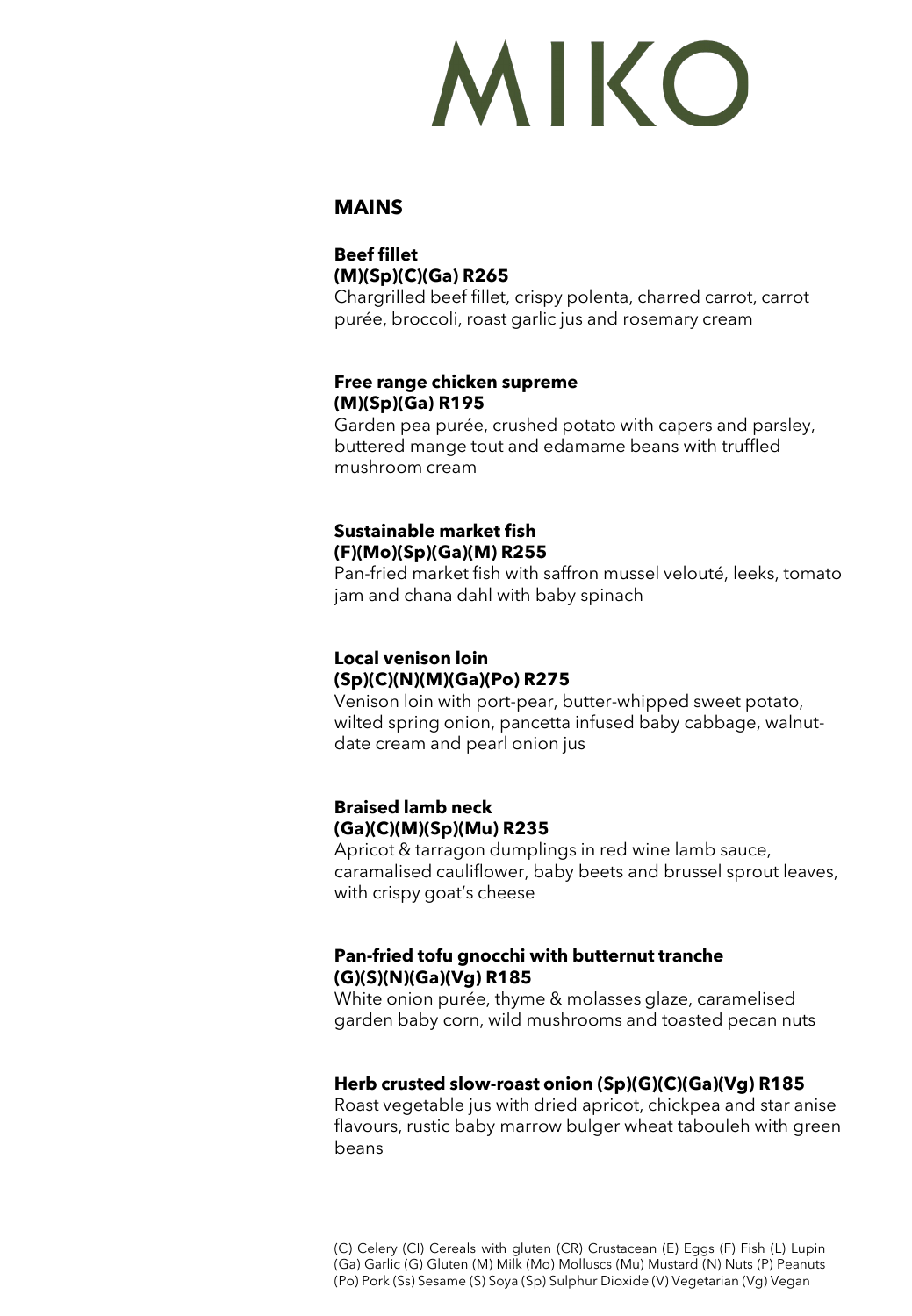# MIKO

### **MAINS**

# **Beef fillet (M)(Sp)(C)(Ga) R265**

Chargrilled beef fillet, crispy polenta, charred carrot, carrot purée, broccoli, roast garlic jus and rosemary cream

#### **Free range chicken supreme (M)(Sp)(Ga) R195**

Garden pea purée, crushed potato with capers and parsley, buttered mange tout and edamame beans with truffled mushroom cream

#### **Sustainable market fish (F)(Mo)(Sp)(Ga)(M) R255**

Pan-fried market fish with saffron mussel velouté, leeks, tomato jam and chana dahl with baby spinach

#### **Local venison loin (Sp)(C)(N)(M)(Ga)(Po) R275**

Venison loin with port-pear, butter-whipped sweet potato, wilted spring onion, pancetta infused baby cabbage, walnutdate cream and pearl onion jus

## **Braised lamb neck (Ga)(C)(M)(Sp)(Mu) R235**

Apricot & tarragon dumplings in red wine lamb sauce, caramalised cauliflower, baby beets and brussel sprout leaves, with crispy goat's cheese

### **Pan-fried tofu gnocchi with butternut tranche (G)(S)(N)(Ga)(Vg) R185**

White onion purée, thyme & molasses glaze, caramelised garden baby corn, wild mushrooms and toasted pecan nuts

### **Herb crusted slow-roast onion (Sp)(G)(C)(Ga)(Vg) R185**

Roast vegetable jus with dried apricot, chickpea and star anise flavours, rustic baby marrow bulger wheat tabouleh with green beans

(C) Celery (CI) Cereals with gluten (CR) Crustacean (E) Eggs (F) Fish (L) Lupin (Ga) Garlic (G) Gluten (M) Milk (Mo) Molluscs (Mu) Mustard (N) Nuts (P) Peanuts (Po) Pork (Ss) Sesame (S) Soya (Sp) Sulphur Dioxide (V) Vegetarian (Vg) Vegan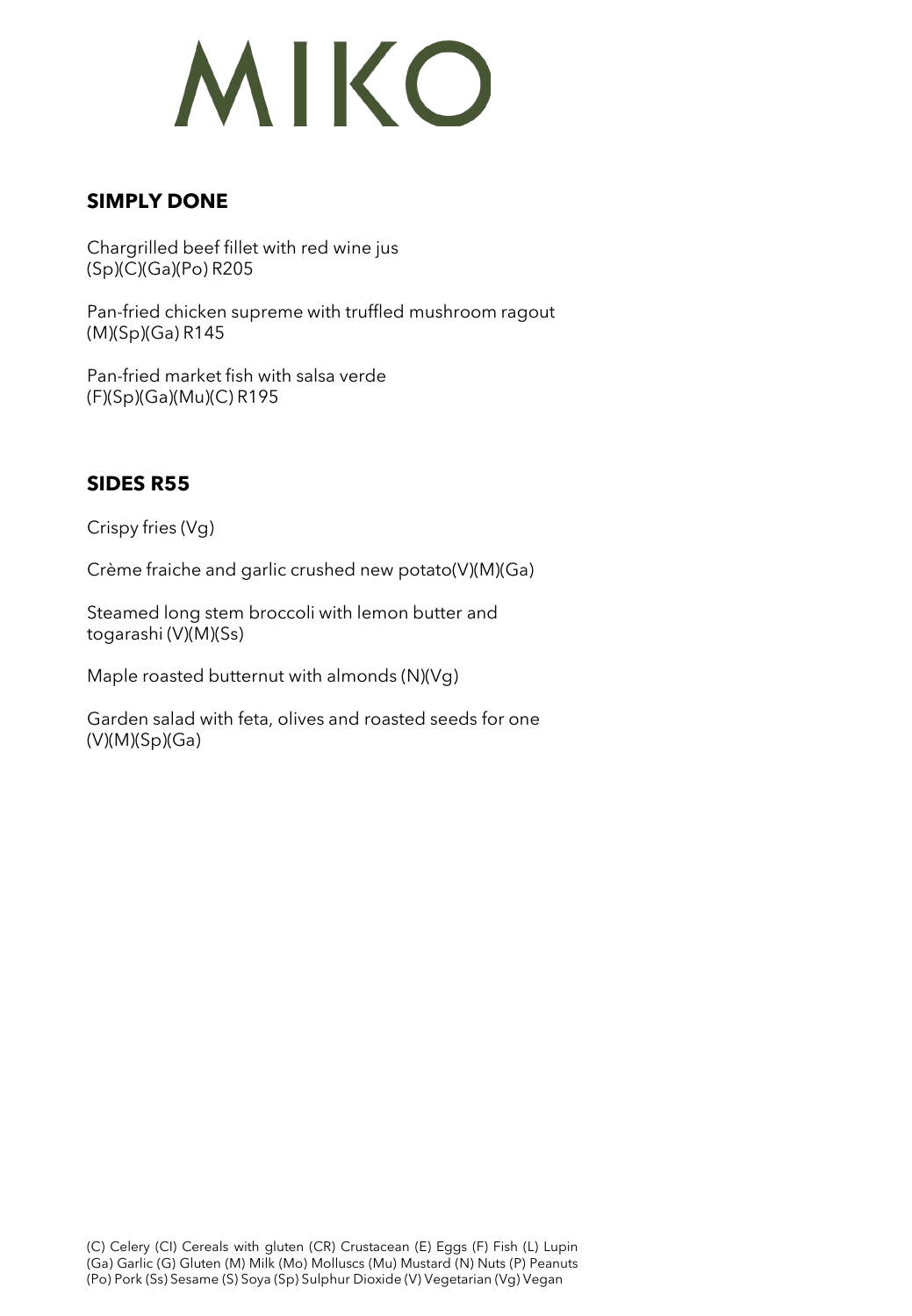

## **SIMPLY DONE**

Chargrilled beef fillet with red wine jus (Sp)(C)(Ga)(Po) R205

Pan-fried chicken supreme with truffled mushroom ragout (M)(Sp)(Ga) R145

Pan-fried market fish with salsa verde (F)(Sp)(Ga)(Mu)(C) R195

# **SIDES R55**

Crispy fries (Vg)

Crème fraiche and garlic crushed new potato(V)(M)(Ga)

Steamed long stem broccoli with lemon butter and togarashi (V)(M)(Ss)

Maple roasted butternut with almonds (N)(Vg)

Garden salad with feta, olives and roasted seeds for one (V)(M)(Sp)(Ga)